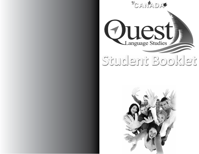

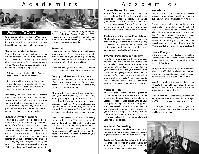# Academics



### **Welcome To Quest**

During the time of your studies at QUEST we will do our very best to serve, teach and help you to the best of our abilities. We are always at your disposal for any assistance that you may require.

#### **Placement and Orientation**

On your first day, both your oral and grammar skills will be tested and you will be placed in one of our 11 levels for both oral and grammar. Testing will also help determine if you can enter programs such as TOEFL or Business English that have entry requirements. Testing is composed of:

- A three part computer based test. Passing each section allows you to continue.
- An oral test with an instructor. You will be provided a topic for discussion prior to your interview and asked general questions to assess your level of English.

After testing you will have your orientation session where an instructor or staff member will go over the student booklet with you and provide you with detailed explanations. Orientation is also an important opportunity for you to ask questions and report any issues that you may have with your course or accommodation.

#### **Changing Levels / Program**

Testing for placement is not perfect and some students may advance more quickly than others. As such, if you feel your level is not appropriate, you may request to change your level by filling out a "Class Change" form by going to the Student Area on our website. We will do our best to assist you but please remember that your request depends on a number of factors, including: your level of English, class /program availability and most importantly your progress evaluation - see "Testing and Progress Evaluations" for details.

Similarly, you may decide to change your program (for example from General English to TOEFL Preparation or from part-time to full-time). There is an administrative charge for all program changes - consult Quest's fee sheet.

#### **Materials**

On your second day of classes, you will receive your textbooks. If you have not already paid for your textbooks, you will be required to pay when you pick them up. Please consult our fee sheet or your invoice for material fees.

When you change classes or move to a higher level you may need to purchase new textbooks.

#### **Testing and Progress Evaluations**

Feedback and review are critical to learning effectively and to your progress. For this reason there is a weekly written review test every Monday and a monthly oral test.

All your test scores along with your attendance and your performance by skill area (Oral, Reading, Writing, Participation) are continuously tracked and recorded in your web based progress evaluations. Progress evaluations are updated weekly and issued every 4 weeks (so if you study 3 months you get 3 evaluations) or at the end of your studies if shorter than 4 weeks.

Based on your overall evaluation and maintaining average test scores of 75%, you can move to the next level of study (11 levels in total) every 4 to 5 weeks. You can view your evaluations by logging into the Quest Student Area (http://studyquest.net/student) using your full name and student ID number. Do not reveal your student ID to other students.

# A cademi

#### **Student IDs and Pictures**

Pictures for student IDs are taken on your first day of school. The IDs will be available for pickup at reception on Tuesday. You can use your student ID as proof of your student status to get an International Student ID card. You can also get discounts with your ID from a number of restaurants near the school - ask at reception.

#### **Certificates - Successful Completion**

All students who have successfully completed their course (80 percent attendance required) will receive a certificate on their last day of class stating course and duration of studies, level attained and (if applicable) distinctions.

#### **Program Evaluation and Quality**

In order to ensure you are happy with your program, we regularly conduct course and accommodation evaluations on the last Friday of every month. The evaluations are handed out by your instructor in class and your instructor then leaves the room giving you time to complete the evaluations. You may complete the evaluations anonymously if you wish. We encourage you to write comments (good or bad) as they better assist us in improving our programs and services.

#### **Vacation Time**

To take a vacation from your classes please go to the Student Area on the website to submit a Vacation Request Form. Generally, your vacation request cannot exceed 20% of your total program length and is subject to approval and space availability for your restart date. If you take an authorized break from classes there you will not be compensated in any way and your absence may be reported to CIC. Vacation requests that violate the terms and conditions of your visa will be denied.

#### **Academic Counselling**

**General Academic Counselling** for school related matters or for general information on pursuing higher studies in Canada is provided free of charge.

**Specialized Academic Counseling** with detailed information and advice on availability, program /school selections, application criteria and procedures is provided on a fee basis.

#### **Workshops**

Periods 3 and 4 are composed of elective workshops which change weekly by topic and level. New workshops are posted every week.

If your program allows for workshops, you must make your workshop selection(s) each week. As a new student you will make your first selection(s) on Tuesday morning, prior to starting class. Thereafter, you can make your selection(s) starting every Thursday, 6:00 pm onwards. Space is limited, so the sooner you do it, the more choice you will have. You select workshops through the "Workshops" link at www.studyquest.net/student.

#### **Course Changes**

At Quest we try to be as flexible as possible to accommodate student needs. Student may their course type, duration and intensity subject to the Fee and Refund Policy.

Any type of course change except for extensions is subject to a \$50 administrative charge. Changing course type and extensions are also subject to any resulting increase in fees per our fee schedule.

Any refunds resulting from course reductions are subject to the Fee and Refund Policy. The unused portion of the course will be used to calculate the percentage of refund applicable.

Students may reduce their course intensity and proportionally extend their course duration subject to a \$50 charge and space / program availability.

In all cases, students must ensure that any changes to their course does not violate the terms and conditions of their visas.

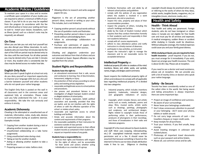# **Attendance Academic Policies / Guidelines**

To maintain your space in a class and to receive a certificate upon completion of your studies you are required to attend a minimum of 80% of your classes. If you fail to do so you may be expelled from the program (in accordance with the fee and refund policy) or loose your seating and have to wait to restart your classes. Exceptions, such as illness (proof, such as a doctor's note may be required), are allowed.

#### **On-Time**

When you are late you not only hurt yourself but you also disrupt your fellow classmates. As such, students who are more than 10 minutes late for the start of the 9:00 am period may be denied entry to the class until the next break. For all other periods you may be denied entry if you are late 5 minutes or more. Any student who is consistently late for class may be denied access no matter how late.

#### **English Only Rule**

When you don't speak English at school not only do you deny yourself an important opportunity to improve your language skills but you also put a barrier between yourself and other students who do not speak your native language.

The English Only Rule is posted on the wall in all classrooms and in the common areas and explained fully at orientation. Please make sure you fully understand the rule - it is your responsibility. We take the rule seriously and enforce it strictly.

#### **Academic Dishonesty**

Cheating is the attempted or unauthorized use of materials, information, notes, study aids, devices or communication during an academic exercise. Examples include:

- Copying from another student during a test or allowing another to copy your work.
- Unauthorized collaborating on a take home assignments
- Using unauthorized notes during a test.
- Taking an test for another student.
- Asking or allowing another student to take a test for you.
- Preparing answers or notes before a test.

• Allowing others to research and write assigned papers for you.

Plagiarism is the act of presenting another person's ideas, research or writing as your own. This includes, but is not limited to:

- Copying another person's actual words without the use of quotation marks and footnotes.
- Presenting another person's ideas in your own words without acknowledging them.
- Failure to acknowledge collaborators on assignments.
- Purchase and submission of papers from internet vendor sites and other sources.

Cheating and plagiarism undermine your outcomes and detract from that of others and are not tolerated at Quest. Repeat offenders may be expelled from the school.

#### **Student Rights and Responsibilities**

#### **Students have the right to:**

- an educational environment that is safe, secure and conducive to learning, free of discrimination, harassment, indignity or injury.
- the protection of their privacy according to school policy and existing privacy legislation.
- reasonable and legitimate access to school policies and procedures.
- due process and procedural fairness in any investigation of alleged improper student conduct or alleged violations of school policy.
- • freedom of inquiry, expression, belief, political association and assembly, provided that they are lawful, and do not interfere with the rights of others or with the effective operation of the school or violate school policy.
- • reasonable and legitimate access to school buildings and facilities.
- • timely and accurate information about the content and requirements of their programs.
- the reasonable availability of their instructors for assistance outside of class periods
- • reasonable and supervised access to their official student records as contained in their student file.
- • request an impartial review of any grade.

#### **Students have a responsibility to:**

• exercise their rights and freedoms with respect for the rights of others, and be accountable for their words and actions whether acting individually or as a member of a group.

- • familiarize themselves with and abide by all relevant school policies and guidelines
- • comply with the policies of any organization where the student is involved in a work placement, site visit or practicum.
- respect the rules, property and values of their accommodation providers.
- • respect the property of others, including the school's buildings and facilities.
- abide by the Code of Student Conduct which requires that they conduct themselves honestly in their academic work and responsibly in their non-academic behaviour.
- comply with all course requirements.
- • adhere to class attendance polices and notify instructors in a timely manner of absences.
- • participate in class activities, as instructed.
- respect the instructor's right to manage the classroom and to set reasonable norms for acceptable behaviour.

#### **Intellectual Property** (IP)

Intellectual property (IP) refers to creations of the mind: inventions, literary and artistic works, and symbols, names, images, and designs used in commerce.

Quest respects the intellectual property rights of others and endeavors to comply with all applicable laws regarding intellectual property. IP is divided into two categories:

- 1. Industrial property, which includes inventions (patents), trademarks, industrial designs, and geographic indications of source.
- 2. Copyright, which includes literary and artistic works such as novels, textbooks, poems and plays, films, musical works, artistic works such as drawings, paintings, photographs and sculptures, and architectural designs. Rights related to copyright include those of performing artists in their performances, producers of phonograms in their recordings, and those of broadcasters in their radio and television programs.

Copyright IP is the most relevant to Quest students and staff. Most uses (copying, rebroadcasting, etc.) Of copyrighted materials require written permission and or a fee. It should never be assumed that because something is found on the internet it is free to use nor does simple attribution make it free to use. Diligence in checking copyright should always be practiced when using or referring to the works of others be they ideas, artistic works, tangible (books, magazines, etc.) or intangibles (music, electronic media, etc.).

# **Health and Safety**

#### **Health - Think Ahead**

Your health and safety are paramount. Foreign students, who do not have immigrant or citizen status in Canada are not eligible for free health care and must pay for all services and expenses. A medical emergency, sudden illness or accident while studying in Canada could be disastrous. Without adequate coverage, the medical expenses could cause you and your family great distress.

#### **While studying at Quest, you are required to have**

**health insurance** - proof required. If you do not, you must arrange for it immediately. If you wish, Quest can arrange your health insurance. The cost is about \$2.00 / day. Please ask at reception.

If you need to see a doctor and need assistance, please ask at reception. We can provide you with a list of nearby clinics or doctors who speak your native language.

### **Safety - Be Secure**

Toronto has been consistently ranked as one of the safest cities in the world. But being aware and taking precautions is always important. Here are some important tips:

- Project an image of confidence and sureness.
- Be aware of your surroundings.
- Never leave your belongings unattended.
- Don't draw unnecessary attention to yourself or your belonging - don't wave your phone, tablets or wallet around.
- Do not carry large amounts of cash Use travellers cheques or major credit cards.
- Keep receipts for all purchases.
- Trust your instincts. If you feel unsafe, keep moving.
- Avoid meeting strangers in unknown and isolated places.
- Photocopy all important travel documents such as your passport and airline tickets.
- Above all, use common sense and be safe.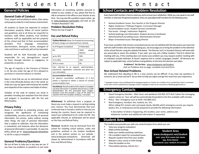# Student Life

# **General Policies**

#### **General Code of Conduct**

Trust, respect and sensitivity to others, their values and property make for a harmonious environment.

All students at Quest are expected to conduct themselves properly, follow all school policies and guidelines and at all times be respectful to teachers, staff, fellow students, host families/ residence staff (as applicable) and the property of the school and that of their accommodation providers. Foul language, harassment, discrimination, disrespect, racism, disregard of rules and those in authority will not be tolerated.

Students will be held financially and legally responsible for any damage/harm caused by them, through intention or negligence, to properties or persons.

The age of majority in the Province of Ontario is 19. No one under the age of 19 is allowed to purchase or consume tobacco or alcohol.

Keep in mind that we are an international school in the most ethnically diverse city in the world. So while you may not agree with everyone be mindful and respectful of the customs and habits of others .

Violation of the code of conduct can result in penalties including your expulsion from the school and program in accordance with the Fee and Refund policy.

#### **Privacy Policy**

Quest is committed to protecting privacy, and recognizes the significance of maintaining confidentiality, accuracy and security of personal information. Our privacy policy outlines, among other things, the type of personal information that is subject to collection, how the information is maintained, and instances when the disclosure of personal information is permissible. To view the policy, please go to: www.studyquest.net/policies or ask for a copy at reception.

#### **General Problems/Questions**

We are all here to help you in any way we can. If you have any problems or questions or just need

information on something, whether personal or related to your studies or visa, please feel free to talk to someone in the office or your teacher at any time. You may also file a problem report online - go to www.studyquest.net/student and click on the "Problem Resolution" link.

**Problem Resolution Policy**

Please see top of page 9.

#### **Fee and Refund Policy**

| <b>Tuition Refund</b> (allow 2 to 4 weeks for processing)<br>All bank charges are deducted from refunds. |                           |  |  |  |
|----------------------------------------------------------------------------------------------------------|---------------------------|--|--|--|
| % Refunded<br>% of Program Completed                                                                     |                           |  |  |  |
| 0%                                                                                                       | 100%<br>except<br>deposit |  |  |  |
| up to 10%                                                                                                | 50%                       |  |  |  |
| 11 to 30%                                                                                                | 30%                       |  |  |  |
| 0%<br>30 % or more                                                                                       |                           |  |  |  |
| Eggs referred to as deposit administration                                                               |                           |  |  |  |

Fees referred to as deposit, administration, placement, registration, materials and other are non-refundable.

#### **Accommodation Refund:**

An advance cancellation notification of 4 full weeks is required to obtain a refund of unused accommodation fees.

**Visa Refusal:** Should students fail to obtain a Canadian visa they will receive a complete refund minus a \$300 administration fee and associated bank charges. Students must first provide a copy of the letter of rejection from the Canadian embassy / consulate.

**Withdrawal:** To withdraw from a program at Quest you must make a request in writing stating your reasons. You must demonstrate that your continued stay in Canada is lawful or that you are leaving the country. Quest may be required to report your withdrawal to CIC under the ISP. Any applicable refunds on withdrawal will be based on the Fees and Refund Policy.

**Dismissal**: Students may be dismissed from the school for violating school policies, codes and guidelines outlined in the student handbook and in the policies section on our website www.studyquest.net/policies. Dismissals will always be administered in accordance with the Fees and Refund Policy.

# Contact

# **School Contacts and Problem Resolution**

Every Quest staff member is here to assist you and to ensure your satisfaction. While you may speak to any staff member or instructor for general assistance, there are specialized staff members for the following areas:

- General Academic Issues: Your teacher or the Program Director
- • Higher Academics / Pathway Program: Curriculum Manager
- Accommodation Issues: Student Services Coordinator
- • Visa Issues change / extensions: Registrar
- Activity bookings and information: Student Services Coordinator
- Administrative/Counselling Issues: Administrative Director
- • Major Unresolved Issues: Managing Director

If you have a problem that remains unresolved and you are not satisfied with the discussions you have had with the staff member who has been helping you, we encourage you to bring the problem to the attention of the school Director using the website link below. The Director and / or Assistant Director will meet with you personally to assess the problem. If you wish, you may ask a fellow student / friend to attend the meeting with you. If this meeting does not resolve your problem you may request another meeting with an unbiased, outside arbitrator at Quest's expense and or contact Languages Canada\*. All decisions are subject to applicable laws, school policies and guidelines at the time the decision was taken.

> **Problems? Go On-line:** www.studyquest.net/student, click on Problems link on page, complete and send form.

#### **Non-School Related Problems**

We understand that adjusting to life in a new country can be difficult. If you have any questions or concerns, let us know and we'll do our best to help you adjust and get the most from your experience.

\* Languages Canada is the accrediting body for language programs in Canada. As a condition of our membership, Quest is committed to the code of ethics established by Languages Canada. Languages Canada can be contacted at info@languagescanada.ca.

### **Emergency Contacts**

- • Quest Emergency Number After hours and weekend: 416-962-2272 dial 3 when the messaging system comes on. Your call will be automatically forwarded to the first available staff member.
- Police Non- Emergency such as theft: 416-808-2222
	- Real Emergency: Accident, fire, medical, etc. 911. When calling 911 remain calm and speak clearly. Identify which emergency service you require (police, fire, or ambulance) and be prepared to provide the following information:

A description of what is happening, the location, your name, address and telephone number and additional information if requested.

### **Student Area**

The student area provides you with one central location from which you can:

- View your progress evaluations<br>• Make activity bookings
- Make activity bookings
- Make your weekly workshop selections
- File a problem report for unresolved issues<br>• Request vacation time from your studies
- Request vacation time from your studies
- Request a class, course or level change<br>• View this booklet on-line
- View this booklet on-line
- View policies (privacy, refund, etc.)

### **Student Area**

**www.studyquest.net/student user: your first name last name (eg. Anne Kwon) password: your student id number**

 $\boldsymbol{a}$ 

0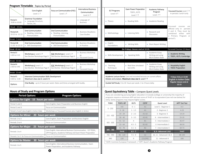|                             | <b>Program Timetable</b> - Topics by Period                                                                                                                                                                      |                                                                   |                                                              |  |                                              |                                                                    |                                                                                   |                                                                                                           |
|-----------------------------|------------------------------------------------------------------------------------------------------------------------------------------------------------------------------------------------------------------|-------------------------------------------------------------------|--------------------------------------------------------------|--|----------------------------------------------|--------------------------------------------------------------------|-----------------------------------------------------------------------------------|-----------------------------------------------------------------------------------------------------------|
|                             | Core English<br>Level: 1 1                                                                                                                                                                                       | Focus on Communication (FOC)<br>Level: $1^$                       | <b>International Business</b><br>Communication<br>Level: 6 1 |  | <b>ELT Programs</b><br>Level: 9 1            | <b>Exam Power Preparation</b><br><b>TOEFL, IELTS</b><br>Level: 7 1 | Academic Pathway<br>Program<br>Level: 7 1                                         | Focussed Courses Level: 7 1<br>In periods 3 and 4 only                                                    |
| Period 1<br>9:00 to 10:00   | <b>Grammar Foundation</b><br>• Language Structure,<br>Tenses, etc.                                                                                                                                               |                                                                   | $\blacktriangleright$ Language of<br><b>Business</b>         |  | $\blacktriangleright$ Theory                 | $\triangleright$ Reading Skills                                    | $\triangleright$ Academic Reading                                                 |                                                                                                           |
| Break - 15 min.             |                                                                                                                                                                                                                  |                                                                   |                                                              |  |                                              |                                                                    |                                                                                   | Focussed<br>courses are                                                                                   |
| Period 2A<br>10:15 to 11:15 | <b>Oral Communication</b><br>Reading, Listening,<br>Pronunciation                                                                                                                                                | <b>Oral Communication</b><br>Reading, Listening,<br>Pronunciation | $\blacktriangleright$ Business Situations:<br>Case Studies   |  | • Methodology                                | $\blacktriangleright$ Listening Skills                             | $\triangleright$ Research and<br>Discussion                                       | periods<br>offered only in<br>3 and 4. They must be<br>either with<br>combined<br>a Primary<br>Program or |
| Break - 5 min.              |                                                                                                                                                                                                                  |                                                                   |                                                              |  |                                              |                                                                    |                                                                                   | period 5.                                                                                                 |
| Period 2B<br>11:20 to 12:15 | Oral Communication<br>Skill Development                                                                                                                                                                          | Oral Communication<br>Skill Development                           | Business Situations:<br>In Practice                          |  | $\blacktriangleright$ English<br>Foundations | $\blacktriangleright$ Writing Skills                               | ▶ Short Report Writing                                                            |                                                                                                           |
| Break - 45 min.             |                                                                                                                                                                                                                  |                                                                   |                                                              |  |                                              | On Fridays classes end at 12:15.                                   |                                                                                   | <b>Focussed Courses 2.5 Hours</b>                                                                         |
| Period 3<br>1:00 to 2:15    | Workshops   Level: 2 1<br>See Elective Workshops Page 9                                                                                                                                                          | FOC Workshops I Level: 2 1<br>See Elective Workshops Page 9       | Business Workshop<br>or<br>Focussed Course                   |  | Skills Development                           | $\blacktriangleright$ Speaking Skills                              | $\triangleright$ Academic Essay<br>Writing and using<br><b>MLA Citation Style</b> | Academic Writing<br>TOEFL, IELTS, Cambridge                                                               |
| Break - 15 min.             |                                                                                                                                                                                                                  |                                                                   |                                                              |  |                                              |                                                                    |                                                                                   |                                                                                                           |
| Period 4<br>2:30 to 3:45    | Workshops II Level: 2 1<br>See Elective Workshops Page 9                                                                                                                                                         | FOC Workshops II Level: 2 1<br>See Elective Workshops Page 9      | Business Workshop<br>or<br>Focussed Course                   |  | $\blacktriangleright$ Teaching<br>Techniques | Real time simulated<br>test drills                                 | $\triangleright$ Academic Essay<br>Writing and using<br><b>MLA Citation Style</b> | Hospitality English<br>TOEIC Preparation                                                                  |
| Break - 15 min.             |                                                                                                                                                                                                                  |                                                                   |                                                              |  |                                              |                                                                    |                                                                                   |                                                                                                           |
| Period 5<br>4:00 to 5:00    | Intensive Communication Skills Development<br>Academic Lecture Series: Live and recorded lectures on current affairs.<br>Maximum class size 6. Level 2 h<br>Debate and analysis. Maximum class size 6. Level 7 1 |                                                                   |                                                              |  |                                              | Fridays Only at 13:00<br><b>English in Action Clubs</b>            |                                                                                   |                                                                                                           |
| Options                     | Chat Buddy - up to 5 hours per week. Dates and times arranged with buddy.<br>Guided Self Study: 5 to 10 hours per week. 1 to 2 hours daily.                                                                      |                                                                   |                                                              |  | Regular classes end at<br>12:15              |                                                                    |                                                                                   |                                                                                                           |

| <b>Period Options</b>                          | <b>Program Options</b>                                                                                                      | If you are considering pursuing higher education in Can<br>programs require a minimum APP exit test score of 74-8 |                                                                            |              |                   |
|------------------------------------------------|-----------------------------------------------------------------------------------------------------------------------------|-------------------------------------------------------------------------------------------------------------------|----------------------------------------------------------------------------|--------------|-------------------|
| Options for Light 15 hours per week            |                                                                                                                             |                                                                                                                   | entry. Some programs may require higher scores.                            |              |                   |
| Period 1 and 2                                 | Core English, Exam Preparation and Business English                                                                         | <b>TOEIC</b>                                                                                                      | <b>TOEFLIBT</b>                                                            | <b>IELTS</b> | CEFR <sup>1</sup> |
| Period 2 and 3                                 | Focus on Communication                                                                                                      | $0 - 250$                                                                                                         | $0 - 8$                                                                    | $0 - 1$      | A1                |
| Period 3, 4 and 5 plus English in Action Clubs | Workshops or Focussed Courses plus English in Action                                                                        |                                                                                                                   | $9 - 18$                                                                   | $1 - 1.5$    | A1                |
| <b>Options for Minor</b>                       | 20 hours per week                                                                                                           | $255 - 400$                                                                                                       | $19 - 29$                                                                  | $2 - 2.5$    | $A1 - A2$         |
| Periods 1 to 3                                 | Core English, Exam Preparation and Business English                                                                         |                                                                                                                   | $30 - 40$                                                                  | $3 - 3.5$    | $A2-B1$           |
| Periods 2 to 4                                 | Focus on Communication                                                                                                      | $405 - 600$                                                                                                       | $41 - 52$                                                                  | 4            | <b>B1</b>         |
|                                                |                                                                                                                             |                                                                                                                   | $53 - 64$                                                                  | $4.5 - 5$    | $B1-B2$           |
| Options for Major 25 hours per week            |                                                                                                                             |                                                                                                                   | $65 - 78$                                                                  | $5.5 - 6$    | B2                |
| Periods 1 to 4                                 | Core English, International Business Communication, ELT-TESOL,<br>CPP Programs, Academic Pathway and Exam Power Preparation | $605 - 780$                                                                                                       | 79-95                                                                      | $6.5 - 7$    | C1                |
| Periods 2 to 5 for Focus on Communication      | Focus on Communication                                                                                                      | 785 - 990                                                                                                         | $96 - 120$                                                                 | $7.5 - 9$    | C <sub>2</sub>    |
| <b>Options for Master</b>                      | 30 hours per week                                                                                                           | 990                                                                                                               | 120                                                                        | 9            | $C2$ (CPE)        |
|                                                |                                                                                                                             |                                                                                                                   | <sup>1</sup> CEFR: Common European Framework   <sup>2</sup> APP: Quest's / |              |                   |
| Periods 1 to 5                                 | Core English, International Business Communication, Exam<br>Power Preparation, and Academic Pathway                         |                                                                                                                   |                                                                            |              |                   |
|                                                |                                                                                                                             |                                                                                                                   |                                                                            |              | 9                 |

| ternational Business<br>Communication<br>Level: 6 1 | <b>ELT Programs</b><br>Level: $9$ $\uparrow$                                                                                    | <b>Exam Power Preparation</b><br><b>TOEFL, IELTS</b><br>Level: 7 1 | Academic Pathway<br>Program<br>Level: 7 1                                              | Focussed Courses Level: 7 1<br>In periods 3 and 4 only                                                                                      |
|-----------------------------------------------------|---------------------------------------------------------------------------------------------------------------------------------|--------------------------------------------------------------------|----------------------------------------------------------------------------------------|---------------------------------------------------------------------------------------------------------------------------------------------|
| Language of<br><b>Business</b>                      | $\blacktriangleright$ Theory                                                                                                    | $\triangleright$ Reading Skills                                    | <b>Academic Reading</b><br>ь                                                           |                                                                                                                                             |
| <b>Business Situations:</b><br>Case Studies         | Methodology<br>ь                                                                                                                | $\blacktriangleright$ Listening Skills                             | Research and<br>ь<br>Discussion                                                        | Focussed<br>courses<br>are<br>offered only in periods<br>3 and 4. They must be<br>combined either with<br>a Primary Program or<br>period 5. |
| <b>Business Situations:</b><br>In Practice          | English<br>ы<br>Foundations                                                                                                     | <b>Writing Skills</b>                                              | ▶ Short Report Writing                                                                 |                                                                                                                                             |
|                                                     |                                                                                                                                 | On Fridays classes end at 12:15.                                   |                                                                                        | <b>Focussed Courses 2.5 Hours</b>                                                                                                           |
| <b>Business Workshop</b><br><b>Focussed Course</b>  | Skills Development<br>ь                                                                                                         | <b>Speaking Skills</b><br>×.                                       | $\blacktriangleright$ Academic Essay<br>Writing and using<br><b>MLA Citation Style</b> | Academic Writing<br>TOEFL, IELTS, Cambridge                                                                                                 |
|                                                     |                                                                                                                                 |                                                                    |                                                                                        |                                                                                                                                             |
| <b>Business Workshop</b><br><b>Focussed Course</b>  | Teaching<br>ь<br>Techniques                                                                                                     | Real time simulated<br>test drills                                 | $\blacktriangleright$ Academic Essay<br>Writing and using<br><b>MLA Citation Style</b> | $\blacktriangleright$ Hospitality English<br>TOEIC Preparation                                                                              |
|                                                     |                                                                                                                                 |                                                                    |                                                                                        |                                                                                                                                             |
|                                                     | Academic Lecture Series: Live and recorded lectures on current affairs.<br>Debate and analysis. Maximum class size 6. Level 7 1 | Fridays Only at 13:00<br><b>English in Action Clubs</b>            |                                                                                        |                                                                                                                                             |
| buddy.                                              | Guided Self Study: 5 to 10 hours per week. 1 to 2 hours daily.                                                                  | Regular classes end at<br>12:15                                    |                                                                                        |                                                                                                                                             |

### **Hours of Study and Program Options Quest Equivalency Table - Compare Quest Levels**

If you are considering pursuing higher education in Canada (college or university) the majority of programs require a minimum APP exit test score of 74-87 or its equivalent (see red row below) for entry. Some programs may require higher scores.

| <b>TOEIC</b>                                                                                      | <b>TOEFLIBT</b> | <b>IELTS</b>   | CEFF <sup>1</sup> | Quest Level             | $APP2$ Exit Test |
|---------------------------------------------------------------------------------------------------|-----------------|----------------|-------------------|-------------------------|------------------|
|                                                                                                   | $0 - 8$         | $0 - 1$        | A1                | Level 1 - Beginner 1    | $0 - 3$          |
| $0 - 250$                                                                                         | $9 - 18$        | $1 - 1.5$      | A1                | 2 - Beginner 2          | $4 - 23$         |
|                                                                                                   | $19 - 29$       | $2 - 2.5$      | $A1 - A2$         | 3 - Beginner 3          | $14 - 24$        |
| $255 - 400$                                                                                       | $30 - 40$       | $3 - 3.5$      | $A2-B1$           | 4 - Intermediate 1      | $25 - 35$        |
| $405 - 600$                                                                                       | $41 - 52$       | 4              | <b>B1</b>         | 5 - Intermediate 2      | $36 - 47$        |
|                                                                                                   | $53 - 64$       | $4.5 - 5$      | <b>B1-B2</b>      | 6 Intermediate 3        | 48-59            |
|                                                                                                   | $65 - 78$       | $5.5 - 6$      | <b>B2</b>         | 7 - Intermediate 4      | 60-73            |
| 605 - 780                                                                                         | 79-95           | $6.5 - 7$      | C <sub>1</sub>    | 8, 9 - Advanced 1 & 2   | 74-87            |
| 785 - 990                                                                                         | $96 - 120$      | $7.5 - 9$      | C2                | 10, 11 - Advanced 3 & 4 | 88-100           |
| 990                                                                                               | 120             | $\overline{9}$ | C2 (CPE)          | 11 - Advanced 4         | 100              |
| <sup>1</sup> CEFR: Common European Framework   <sup>2</sup> APP: Quest's Academic Pathway Program |                 |                |                   |                         |                  |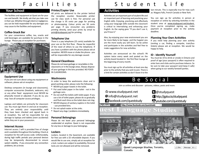# Facilities

### **Your School**

The facilities and equipment at Quest are for your use and benefit. We kindly ask that you take care in their use. Whether through intent or negligence, you can be held responsible for any damages you may cause to the facilities and equipment.

#### **Coffee-Snack Bar**

For your convenience coffee, tea, snacks and cold beverages are available for purchase in the lounge. Please pay at reception for purchases.



#### **Equipment Use**

If you are not sure about using any equipment or software, please ask at reception.

Desktop computers (in lounge and classrooms), computer accessories (headsets, webcams, etc) or any other fixed equipment must NEVER be physically moved or adjusted. If you do so, you may lose all computer access privileges.

Laptops and tablets are primarily for classroom use. You must sign them in and out at reception. They are entirely your responsibility until they have been checked and signed back in at reception. You will be responsible for any damage to laptops and tablets (even accidental) while they are in your possession.

#### **Internet Access**

Internet access / wifi is provided free of charge and is available throughout the building. Check at reception for the wifi access code. Unfortunately, during high traffic periods your personal devices may be temporarily disconnected to ensure system stability. If you encounter any connection problems, let us know.

#### **Printer/Copier Use**

All prints are delivered to the printer behind the reception counter. Reasonable printer use for class work is free. For personal use the charge is 05 cents per page for printing or photocopying. Colour prints are 50 cents per page. If you encounter any problems printing directly, send your prints by email to print@studyquest.net for printing.

#### **Telephone Use**

There is a pay telephone (25 cents) available for your use on the first floor. Please be respectful of the need of others to use the telephone. If you have a problem with the phone please ask at reception. NEVER move or shake the phone - you will be responsible for any damage caused.

#### **General Cleanliness**

Please do not leave garbage or recyclables in the classrooms or in the lounge areas. Always dispose of your garbage in the bins provided. NO FOOD IN CLASSROOMS.

#### **Washrooms**

In order to keep the washrooms clean and in good working order, please note the following:

- NEVER put paper towels in the toilet.
- Put used toilet paper in the toilet not in the garbage cans.
- Do not stuff the toilets with toilet paper. If you use a lot of toilet paper, please do so gradually and flush each time so the toilet does not clog. • NEVER dispose of sanitary napkins in the toilet
- use provided bins.
- Do not splash water at the sinks.
- Report any clogs / problems immediately.

#### **Personal Belongings**

Please do not leave your personal belongings unattended at anytime. Quest is not responsible for any loss or damage to your belongings.

#### **Lockers**

Lockers, located in the basement, are available for free use with a \$5 refundable deposit. If you would like to use one, simply ask at reception for a lock. Lockers are subject to availability. Personal locks are not allowed and will be removed.

# Student Life

### **Activities**

Activities are an important part of student life and an important part of learning and practicing your English skills. Enjoying, practicing and effectively using your language skills outside the classroom is critical to internalizing and enhancing your English. As the saying goes "If you don't use it, you'll lose it."

Also, by enjoying your new environment you are far more likely to be happy and the happier you are the more easily you will learn. So be active and participate in the activities and feel free to make suggestions for new activities.

Activities are announced on the school's PA system twice every week and posted on the activity board located in the first floor lounge at the beginning of every month.

You must sign up for all activities at least one day prior to the activity that you wish to join. There is a limit for certain activities so don't leave it to the last minute. This is especially true for trips such as: Niagara Falls, French Canada or New York.

You can sign up for activities in person at reception or online by selecting Activities in the student area at www.studyquest.net/student. Once you've completed signing up, make payment at reception prior to the activity deadline.

#### **Planning Your Own Activities**

If you need help planning your own activity (renting a car, finding a campsite, train/bus tickets) please ask at reception. We would be happy to help.

### **ID - Identify Yourself**

You must be 19 to drink or smoke in Ontario and proof of age (your passport) is often required to enter bars and clubs and to purchase tobacco. So be sure to take your passport (and keep it safe) when going to our weekly farewell parties.

# Be Social

Join us online and discover - pictures, videos, posts and more.

 $\bigotimes$  www.studyquest.net **to** @studyquest @ info@studyquest.net **g**http://gplus.to/studyquest facebook.com/queststudy **Youtube.com/queststudy** <sup>12</sup><sup>29</sup> Jin-hy est Language Studies Quest Language Studies, Toronto, **B** Like Message  $#$   $*$ Canada ጡ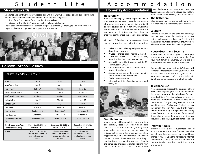# Student Life

## **Student Awards**

Excellence and hard work deserve recognition which is why we are proud to host our Top Student Awards the last Thursday of every month. There are two categories:

- • Top of the Class: Award for top student in each class
- • Student of the Month: Award for the best all around student.

The selection criteria are: overall student progress evaluations, adhering to and promoting the English Only Rule and general participation in student life.



# **Holidays - School Closures**

| Holiday Calendar 2014 to 2016                 |                                                                                  |                                                                                 |                                                                                 |  |  |
|-----------------------------------------------|----------------------------------------------------------------------------------|---------------------------------------------------------------------------------|---------------------------------------------------------------------------------|--|--|
| Holiday                                       | 2014                                                                             | 2015                                                                            | 2016                                                                            |  |  |
| New Years Day                                 | Jan.1                                                                            | Jan.1                                                                           | Jan.1                                                                           |  |  |
| <b>Family Day</b>                             | Feb. 17                                                                          | Feb. 16                                                                         | Feb. 15                                                                         |  |  |
| Easter- Good Friday                           | April 18                                                                         | April 3                                                                         | March 25                                                                        |  |  |
| Staff Development Day                         | April 21+                                                                        | April 6+                                                                        | March 28+                                                                       |  |  |
| Victoria Day                                  | May 19                                                                           | May 18                                                                          | May 23                                                                          |  |  |
| Canada Day                                    | July 1                                                                           | July 1                                                                          | July 1                                                                          |  |  |
| Civic Day                                     | August 4                                                                         | August 3                                                                        | August 1                                                                        |  |  |
| Labour Day                                    | September 1                                                                      | September 7                                                                     | September 5                                                                     |  |  |
| Thanksgiving                                  | October 13                                                                       | October 12                                                                      | October 10                                                                      |  |  |
| <b>Staff Development</b><br>Day               | November 10+                                                                     | November 11+                                                                    | November 11+                                                                    |  |  |
| Christmas / New Year<br>(dates are inclusive) | December 25, 2014 to<br>January 4, 2015*                                         | December 25, 2015 to<br>January 3, 2016*                                        | December 23, 2016 to<br>January 1, 2017*                                        |  |  |
| <b>Notes</b>                                  | *school open but no<br>classes Dec. 29 and 30<br>+ school open but no<br>classes | *school open but no<br>classes Dec. 28 to 30<br>+ school open but no<br>classes | *school open but no<br>classes Dec. 28 to 30<br>+ school open but no<br>classes |  |  |

# Accommodation

# **Homestay Accommodation**

#### **Host Family**

Your host family plays a very important role in your learning experience. They offer the security of a home base where you will live and build on your studies. The host family will welcome and introduce you to the Canadian experience and assist you in fitting into the culture so that you get the most out of your experience.

All kinds of families are involved–and have agreed to provide you with the following:

- Fully furnished and equipped private room: desk, linens towels, etc.
- Private or shared bath—normally shared
- Nutritious meals  $-$  3 meals a day, breakfast, bag lunch and warm dinner
- Accessible by public transport (within 35-50 minutes of QUEST)
- • Clean and comfortable accommodation
- Respect for privacy
- Access to telephone, television, laundry and other household amenities
- English language support
- Introduction into Canadian culture and family life



#### **Your Bedroom**

Your bedroom will be completely private with a door that fully closes. It will contain a bed, desk and a closet or dresser where you may store your clothes. Your bedroom may be located in a basement as this offers more privacy, often bigger rooms, and is very common in Canadian homes. Canadian basements are clean, bright and furnished, just as with any other floor in the home. You are responsible for cleaning your own bedroom. Please do not eat or store food

in your bedroom as this may attract pests and ause unpleasant, lingering odours. You will have access to the common living areas in the house.

#### **The Bathroom**

Most Canadian families share a bathroom. Please take short showers and clean up after yourself.

#### **Laundry**

Laundry is included in the price for homestays. You are responsible for washing your own clothes, unless your host family prefers doing this themselves. Your Host Family will show you how, when and where to use the laundry appliances.

#### **House Guests and Security**

If you wish to invite a guest to visit your homestay, you must request permission from your host family in advance. Guests are not permitted to sleep overnight in homestays.

You should treat your host family's home with the care and respect you would your own. Always ensure doors are locked, turn lights off, don't leave water running, don't clog the toilet, etc. Simply use common sense and all will be well.

#### **Telephone Use**

Please discuss and respect the decisions of your Host Family regarding the use of the telephone. You should only use the telephone for short periods of time. There is no charge for local calls within the Toronto area. You are responsible for the expense of all your long distance calls. You should purchase "calling cards" which are sold throughout the city. You should only receive calls in the Homestay during reasonable waking hours (9:00 A.M. – 10:00 P.M., for example). If you plan on using the phone a lot then you should consider buying yourself a mobile phone.

#### **Internet Access**

Internet access is not a guaranteed part of your homestay. Some host families may allow use of their Internet access for an additional charge. If you are using the homestay's internet, remember to limit your time and be aware of the host family's download restrictions on size and content.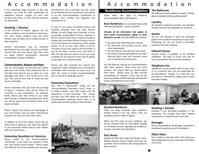# Accommodation

If you download large amounts of data (eg. movies), you may be held responsible for additional internet charges as most host families have limits on their internet accounts for downloads.

#### **Smoking / Alcohol**

In the interests of health, hygiene and fire safety, smoking is not permitted in homestays. You must smoke outdoors only and some families may not allow you to smoke outside on their property.

Alcohol consumption may be restricted (prohibited if you are under 19) and you should consult with your host about what their rules are about alcohol consumption. Excessive consumption is always forbidden.

#### **Communication, Respect and Rules**

You are encouraged to communicate openly with your host family. They understand that it will take some time for you to adjust to a new language, new food, a new family and a new city. They will do their best to make you feel more comfortable.

Please remember that you have the privilege of living in someone else's home. Please be courteous in your interactions. For example, kindly inform your host family as you make plans for day or weekend trips/excursions when you will be away from Homestay meals or be away overnight.

Please respect the privacy and belongings of your host family, and any other International students who may also live in the home.

In addition to all of the above, there may be other rules to abide by, rules which are specific to your homestay. Please discuss such matters with your Host Family.

#### **Homestay Questions or Concerns**

Please speak to the Accommodations Coordinator if you have any questions which your host family cannot answer. Please report any difficulty that arises between you and your host family as soon as possible. You may speak to the Student Services Coordinator at reception or to the Accommodations Coordinator at anytime. Your comfort and happiness are important to us.

In case of any issues considered serious and resulting primarily from the host family's failings, we will change your homestay as soon as possible, usually within 72 hours. However, in the first week of your stay, it may be possible to change your homestay without having a serious issue and without any charge if you have a good reason. To do so, you must notify us by the Thursday of your first week at the homestay. If you do not have a serious issue and notify us after this day that you want to move, you must complete the first period of your stay (4 weeks) or pay again for a new homestay.

Please note that normally the school's first response in issues relating to your homestay is verification and resolution as many issues are often the result of simple misunderstandings due to cultural or language barriers.  $\overline{\phantom{a}}$ 

#### **Homestay Evaluations**

Your help is appreciated. Filling out the "Accommodation Evaluation Form" helps us to better monitor your host family and the experiences in your homestay. The ratings you give your host family are recorded in our accommodation database which helps us to continually track the quality of host families.



# ommoda

## **Residence Accommodation**

Quest offers two types of residence accommodation: Basic and Standard.

**Basic Residences:** are in private homes with self-catering facilities - access to kitchen.

**Virtually all the information that applies to Host Family accommodation applies to Basic Residences as well.** The main differences are that:

- • You will not be interacting with a family.
- You will have more privacy and be much more independent.
- You will shop for and cook your own meals.
- You will be entirely responsible for your own cleaning (your room and common areas such as the kitchen) and laundry.

You will likely be sharing your accommodation with other students. Show them the same courtesy and respect that you would expect from them. Always clean up after yourself immediately. For instance, if you cook, do not leave your dishes until the next day and keep the shower and bathroom areas clean.



#### **Standard Residences**

These are large university type residences located mostly in the city centre. They are available only from May to August.

When you first arrive at your residence, you will be provided with an information booklet or orientation session regarding the residence's services, amenities and regulations.

#### **Your Room**

Residences offer both single and double rooms. Weekly cleaning service, towels and linens are provided. Some residences may charge extra for these services.

### **The Bathroom**

The bathroom may be shared or ensuite. If shared, please remember to clean up after yourself.

#### **Laundry**

All standard residences provide coin operated laundry machines and detergent for purchase.

#### **Guests**

You are not allowed to have any overnight guests from outside the residence in your room. Disobeying this rule can result in immediate expulsion from the residence.

#### **Internet Access**

Internet access is available at all standard residences. The type of access and cost for access (sometimes free) varies by residence.

### **Telephone Use**

Telephones may be located either in your room or in a common area. You are responsible for all long-distance charges. It is best that you purchase an international calling card to avoid excessive charges.



Smoking is not permitted anywhere in the residences. This includes your room. Alcohol consumption is limited to your room only.

### **Damages**

You are responsible for all damages, accidental or intentional, caused by you at the residence.

### **Other Rules**

Your residence may have other rules which you will be expected to know, understand and follow at all times.